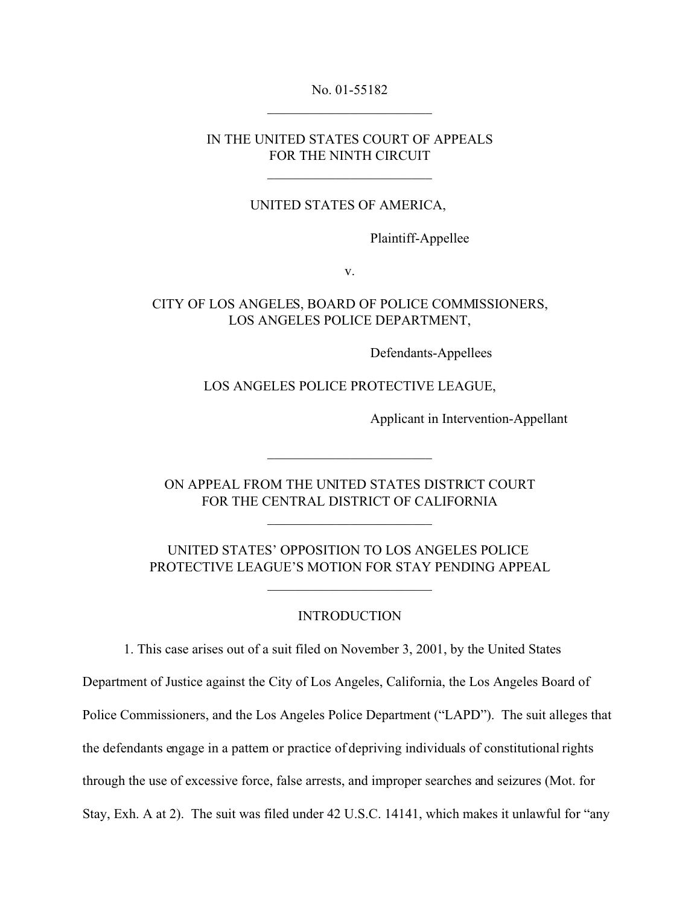#### No. 01-55182

## IN THE UNITED STATES COURT OF APPEALS FOR THE NINTH CIRCUIT

\_\_\_\_\_\_\_\_\_\_\_\_\_\_\_\_\_\_\_\_\_\_\_\_

### UNITED STATES OF AMERICA,

Plaintiff-Appellee

v.

# CITY OF LOS ANGELES, BOARD OF POLICE COMMISSIONERS, LOS ANGELES POLICE DEPARTMENT,

Defendants-Appellees

LOS ANGELES POLICE PROTECTIVE LEAGUE,

Applicant in Intervention-Appellant

ON APPEAL FROM THE UNITED STATES DISTRICT COURT FOR THE CENTRAL DISTRICT OF CALIFORNIA

\_\_\_\_\_\_\_\_\_\_\_\_\_\_\_\_\_\_\_\_\_\_\_\_

\_\_\_\_\_\_\_\_\_\_\_\_\_\_\_\_\_\_\_\_\_\_\_\_

UNITED STATES' OPPOSITION TO LOS ANGELES POLICE PROTECTIVE LEAGUE'S MOTION FOR STAY PENDING APPEAL

\_\_\_\_\_\_\_\_\_\_\_\_\_\_\_\_\_\_\_\_\_\_\_\_

### INTRODUCTION

1. This case arises out of a suit filed on November 3, 2001, by the United States

Department of Justice against the City of Los Angeles, California, the Los Angeles Board of

Police Commissioners, and the Los Angeles Police Department ("LAPD"). The suit alleges that

the defendants engage in a pattern or practice of depriving individuals of constitutional rights

through the use of excessive force, false arrests, and improper searches and seizures (Mot. for

Stay, Exh. A at 2). The suit was filed under 42 U.S.C. 14141, which makes it unlawful for "any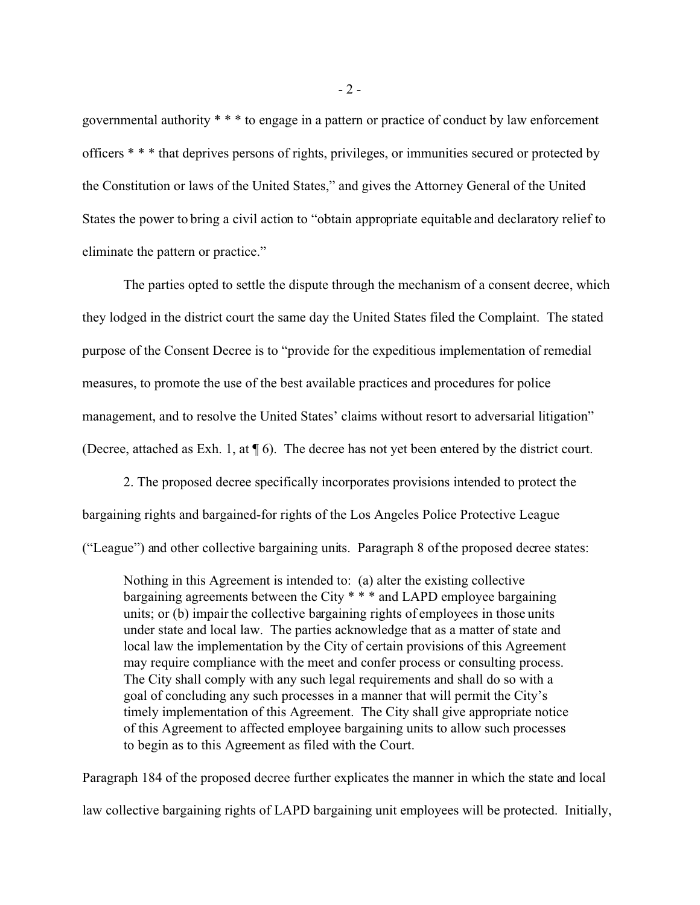governmental authority \* \* \* to engage in a pattern or practice of conduct by law enforcement officers \* \* \* that deprives persons of rights, privileges, or immunities secured or protected by the Constitution or laws of the United States," and gives the Attorney General of the United States the power to bring a civil action to "obtain appropriate equitable and declaratory relief to eliminate the pattern or practice."

The parties opted to settle the dispute through the mechanism of a consent decree, which they lodged in the district court the same day the United States filed the Complaint. The stated purpose of the Consent Decree is to "provide for the expeditious implementation of remedial measures, to promote the use of the best available practices and procedures for police management, and to resolve the United States' claims without resort to adversarial litigation" (Decree, attached as Exh. 1, at ¶ 6). The decree has not yet been entered by the district court.

2. The proposed decree specifically incorporates provisions intended to protect the bargaining rights and bargained-for rights of the Los Angeles Police Protective League ("League") and other collective bargaining units. Paragraph 8 of the proposed decree states:

Nothing in this Agreement is intended to: (a) alter the existing collective bargaining agreements between the City \* \* \* and LAPD employee bargaining units; or (b) impair the collective bargaining rights of employees in those units under state and local law. The parties acknowledge that as a matter of state and local law the implementation by the City of certain provisions of this Agreement may require compliance with the meet and confer process or consulting process. The City shall comply with any such legal requirements and shall do so with a goal of concluding any such processes in a manner that will permit the City's timely implementation of this Agreement. The City shall give appropriate notice of this Agreement to affected employee bargaining units to allow such processes to begin as to this Agreement as filed with the Court.

Paragraph 184 of the proposed decree further explicates the manner in which the state and local law collective bargaining rights of LAPD bargaining unit employees will be protected. Initially,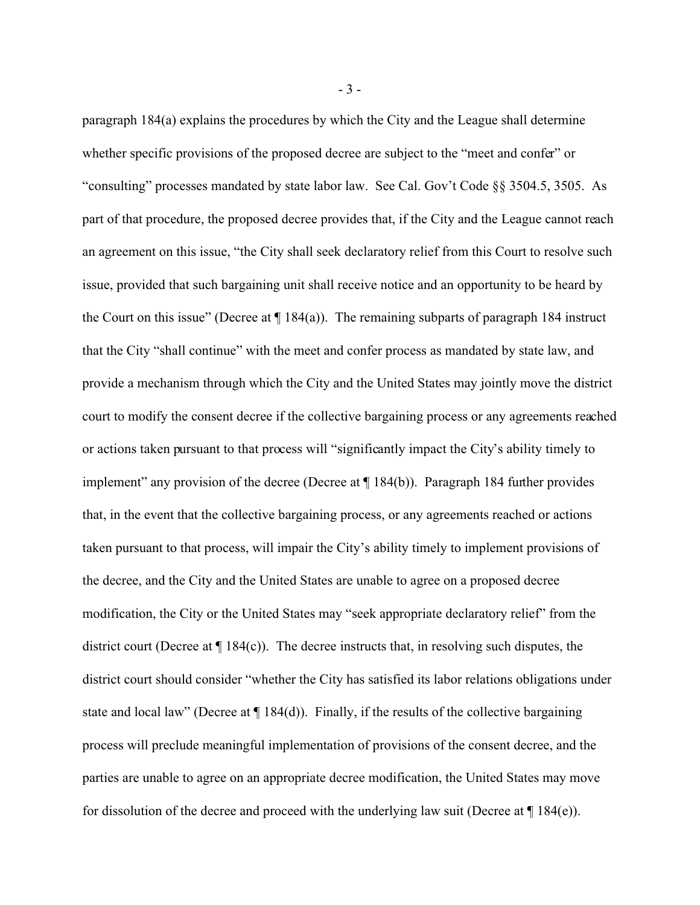paragraph 184(a) explains the procedures by which the City and the League shall determine whether specific provisions of the proposed decree are subject to the "meet and confer" or "consulting" processes mandated by state labor law. See Cal. Gov't Code §§ 3504.5, 3505. As part of that procedure, the proposed decree provides that, if the City and the League cannot reach an agreement on this issue, "the City shall seek declaratory relief from this Court to resolve such issue, provided that such bargaining unit shall receive notice and an opportunity to be heard by the Court on this issue" (Decree at  $\P$  184(a)). The remaining subparts of paragraph 184 instruct that the City "shall continue" with the meet and confer process as mandated by state law, and provide a mechanism through which the City and the United States may jointly move the district court to modify the consent decree if the collective bargaining process or any agreements reached or actions taken pursuant to that process will "significantly impact the City's ability timely to implement" any provision of the decree (Decree at ¶ 184(b)). Paragraph 184 further provides that, in the event that the collective bargaining process, or any agreements reached or actions taken pursuant to that process, will impair the City's ability timely to implement provisions of the decree, and the City and the United States are unable to agree on a proposed decree modification, the City or the United States may "seek appropriate declaratory relief" from the district court (Decree at ¶ 184(c)). The decree instructs that, in resolving such disputes, the district court should consider "whether the City has satisfied its labor relations obligations under state and local law" (Decree at  $\P$  184(d)). Finally, if the results of the collective bargaining process will preclude meaningful implementation of provisions of the consent decree, and the parties are unable to agree on an appropriate decree modification, the United States may move for dissolution of the decree and proceed with the underlying law suit (Decree at  $\P$  184(e)).

- 3 -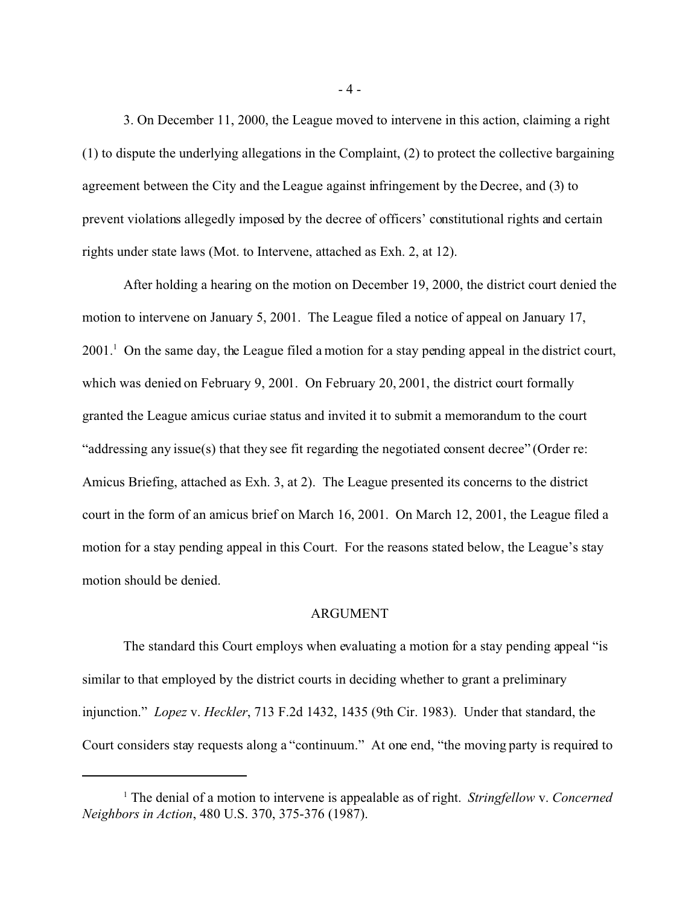3. On December 11, 2000, the League moved to intervene in this action, claiming a right (1) to dispute the underlying allegations in the Complaint, (2) to protect the collective bargaining agreement between the City and the League against infringement by the Decree, and (3) to prevent violations allegedly imposed by the decree of officers' constitutional rights and certain rights under state laws (Mot. to Intervene, attached as Exh. 2, at 12).

After holding a hearing on the motion on December 19, 2000, the district court denied the motion to intervene on January 5, 2001. The League filed a notice of appeal on January 17, 2001.<sup>1</sup> On the same day, the League filed a motion for a stay pending appeal in the district court, which was denied on February 9, 2001. On February 20, 2001, the district court formally granted the League amicus curiae status and invited it to submit a memorandum to the court "addressing any issue(s) that they see fit regarding the negotiated consent decree" (Order re: Amicus Briefing, attached as Exh. 3, at 2). The League presented its concerns to the district court in the form of an amicus brief on March 16, 2001. On March 12, 2001, the League filed a motion for a stay pending appeal in this Court. For the reasons stated below, the League's stay motion should be denied.

#### ARGUMENT

The standard this Court employs when evaluating a motion for a stay pending appeal "is similar to that employed by the district courts in deciding whether to grant a preliminary injunction." *Lopez* v. *Heckler*, 713 F.2d 1432, 1435 (9th Cir. 1983). Under that standard, the Court considers stay requests along a "continuum." At one end, "the moving party is required to

- 4 -

<sup>1</sup> The denial of a motion to intervene is appealable as of right. *Stringfellow* v. *Concerned Neighbors in Action*, 480 U.S. 370, 375-376 (1987).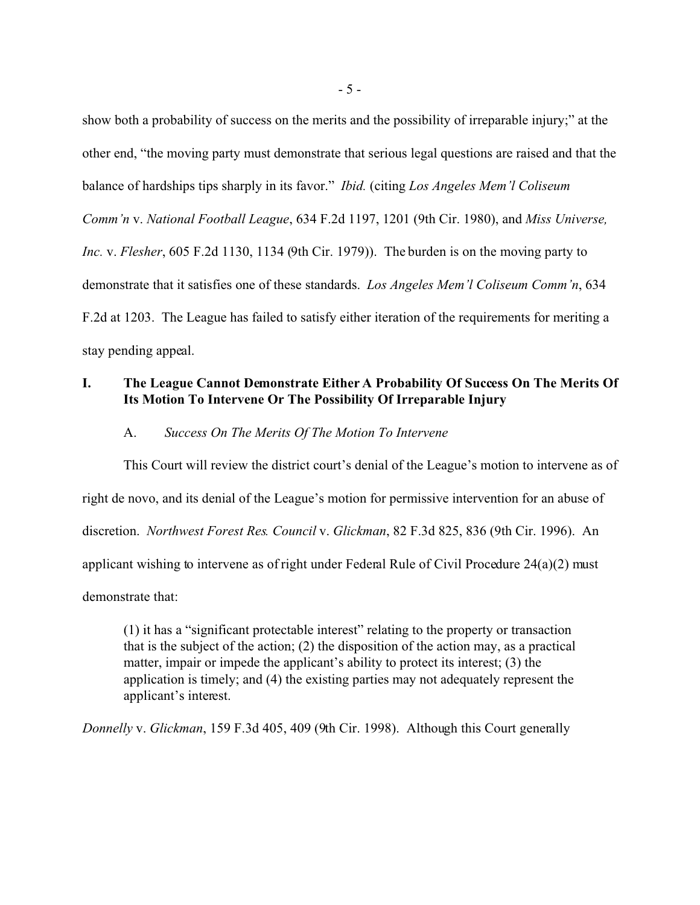show both a probability of success on the merits and the possibility of irreparable injury;" at the other end, "the moving party must demonstrate that serious legal questions are raised and that the balance of hardships tips sharply in its favor." *Ibid.* (citing *Los Angeles Mem'l Coliseum Comm'n* v. *National Football League*, 634 F.2d 1197, 1201 (9th Cir. 1980), and *Miss Universe, Inc.* v. *Flesher*, 605 F.2d 1130, 1134 (9th Cir. 1979)). The burden is on the moving party to demonstrate that it satisfies one of these standards. *Los Angeles Mem'l Coliseum Comm'n*, 634 F.2d at 1203. The League has failed to satisfy either iteration of the requirements for meriting a stay pending appeal.

## **I. The League Cannot Demonstrate Either A Probability Of Success On The Merits Of Its Motion To Intervene Or The Possibility Of Irreparable Injury**

#### A. *Success On The Merits Of The Motion To Intervene*

This Court will review the district court's denial of the League's motion to intervene as of right de novo, and its denial of the League's motion for permissive intervention for an abuse of discretion. *Northwest Forest Res. Council* v. *Glickman*, 82 F.3d 825, 836 (9th Cir. 1996). An applicant wishing to intervene as of right under Federal Rule of Civil Procedure  $24(a)(2)$  must demonstrate that:

(1) it has a "significant protectable interest" relating to the property or transaction that is the subject of the action; (2) the disposition of the action may, as a practical matter, impair or impede the applicant's ability to protect its interest; (3) the application is timely; and (4) the existing parties may not adequately represent the applicant's interest.

*Donnelly* v. *Glickman*, 159 F.3d 405, 409 (9th Cir. 1998). Although this Court generally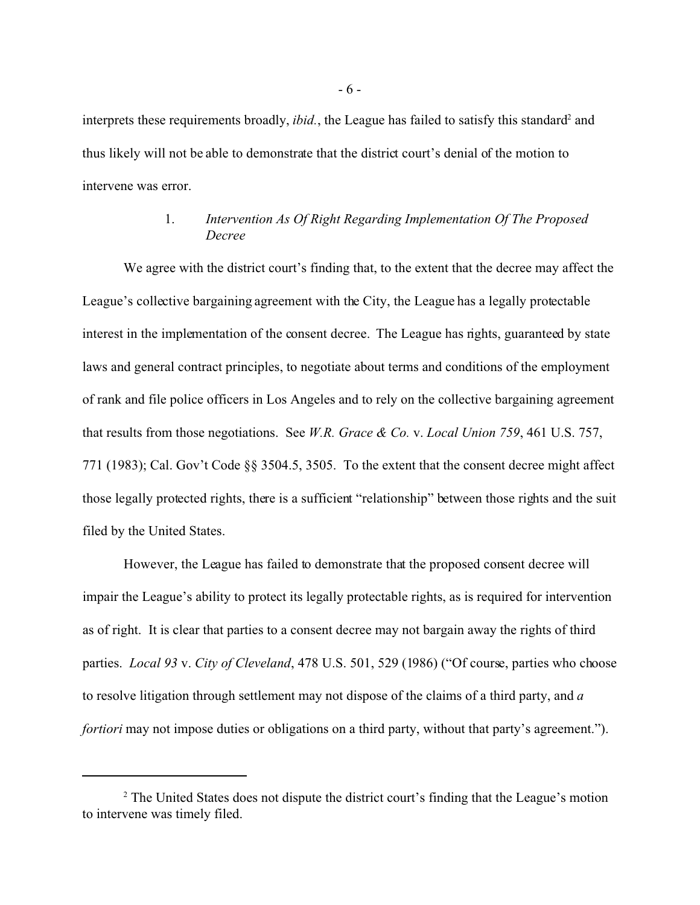interprets these requirements broadly, *ibid.*, the League has failed to satisfy this standard<sup>2</sup> and thus likely will not be able to demonstrate that the district court's denial of the motion to intervene was error.

# 1. *Intervention As Of Right Regarding Implementation Of The Proposed Decree*

We agree with the district court's finding that, to the extent that the decree may affect the League's collective bargaining agreement with the City, the League has a legally protectable interest in the implementation of the consent decree. The League has rights, guaranteed by state laws and general contract principles, to negotiate about terms and conditions of the employment of rank and file police officers in Los Angeles and to rely on the collective bargaining agreement that results from those negotiations. See *W.R. Grace & Co.* v. *Local Union 759*, 461 U.S. 757, 771 (1983); Cal. Gov't Code §§ 3504.5, 3505. To the extent that the consent decree might affect those legally protected rights, there is a sufficient "relationship" between those rights and the suit filed by the United States.

However, the League has failed to demonstrate that the proposed consent decree will impair the League's ability to protect its legally protectable rights, as is required for intervention as of right. It is clear that parties to a consent decree may not bargain away the rights of third parties. *Local 93* v. *City of Cleveland*, 478 U.S. 501, 529 (1986) ("Of course, parties who choose to resolve litigation through settlement may not dispose of the claims of a third party, and *a fortiori* may not impose duties or obligations on a third party, without that party's agreement.").

<sup>&</sup>lt;sup>2</sup> The United States does not dispute the district court's finding that the League's motion to intervene was timely filed.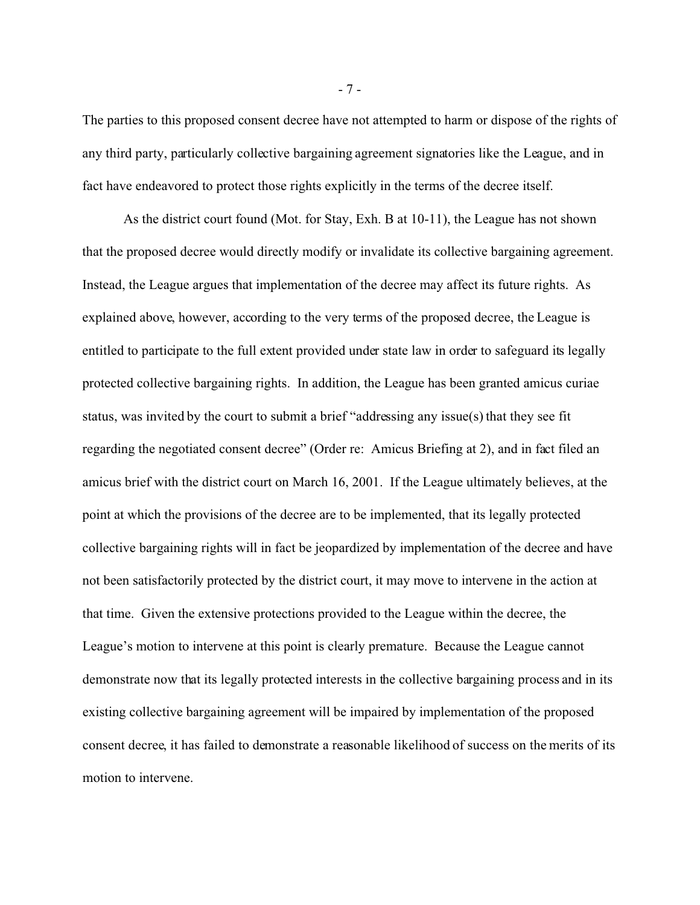The parties to this proposed consent decree have not attempted to harm or dispose of the rights of any third party, particularly collective bargaining agreement signatories like the League, and in fact have endeavored to protect those rights explicitly in the terms of the decree itself.

As the district court found (Mot. for Stay, Exh. B at 10-11), the League has not shown that the proposed decree would directly modify or invalidate its collective bargaining agreement. Instead, the League argues that implementation of the decree may affect its future rights. As explained above, however, according to the very terms of the proposed decree, the League is entitled to participate to the full extent provided under state law in order to safeguard its legally protected collective bargaining rights. In addition, the League has been granted amicus curiae status, was invited by the court to submit a brief "addressing any issue(s) that they see fit regarding the negotiated consent decree" (Order re: Amicus Briefing at 2), and in fact filed an amicus brief with the district court on March 16, 2001. If the League ultimately believes, at the point at which the provisions of the decree are to be implemented, that its legally protected collective bargaining rights will in fact be jeopardized by implementation of the decree and have not been satisfactorily protected by the district court, it may move to intervene in the action at that time. Given the extensive protections provided to the League within the decree, the League's motion to intervene at this point is clearly premature. Because the League cannot demonstrate now that its legally protected interests in the collective bargaining process and in its existing collective bargaining agreement will be impaired by implementation of the proposed consent decree, it has failed to demonstrate a reasonable likelihood of success on the merits of its motion to intervene.

- 7 -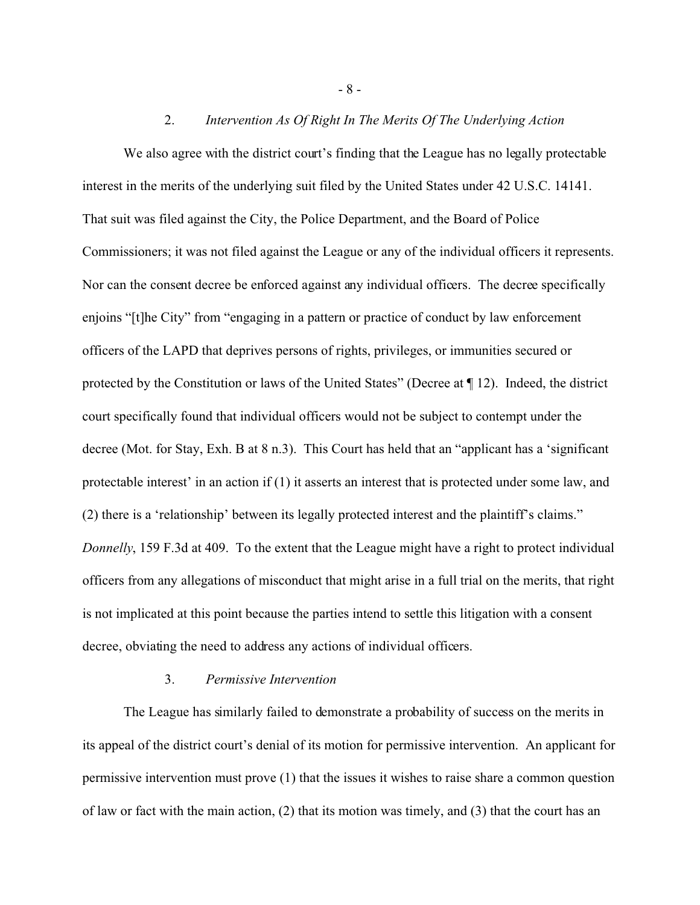### 2. *Intervention As Of Right In The Merits Of The Underlying Action*

We also agree with the district court's finding that the League has no legally protectable interest in the merits of the underlying suit filed by the United States under 42 U.S.C. 14141. That suit was filed against the City, the Police Department, and the Board of Police Commissioners; it was not filed against the League or any of the individual officers it represents. Nor can the consent decree be enforced against any individual officers. The decree specifically enjoins "[t]he City" from "engaging in a pattern or practice of conduct by law enforcement officers of the LAPD that deprives persons of rights, privileges, or immunities secured or protected by the Constitution or laws of the United States" (Decree at ¶ 12). Indeed, the district court specifically found that individual officers would not be subject to contempt under the decree (Mot. for Stay, Exh. B at 8 n.3). This Court has held that an "applicant has a 'significant protectable interest' in an action if (1) it asserts an interest that is protected under some law, and (2) there is a 'relationship' between its legally protected interest and the plaintiff's claims." *Donnelly*, 159 F.3d at 409. To the extent that the League might have a right to protect individual officers from any allegations of misconduct that might arise in a full trial on the merits, that right is not implicated at this point because the parties intend to settle this litigation with a consent decree, obviating the need to address any actions of individual officers.

### 3. *Permissive Intervention*

The League has similarly failed to demonstrate a probability of success on the merits in its appeal of the district court's denial of its motion for permissive intervention. An applicant for permissive intervention must prove (1) that the issues it wishes to raise share a common question of law or fact with the main action, (2) that its motion was timely, and (3) that the court has an

- 8 -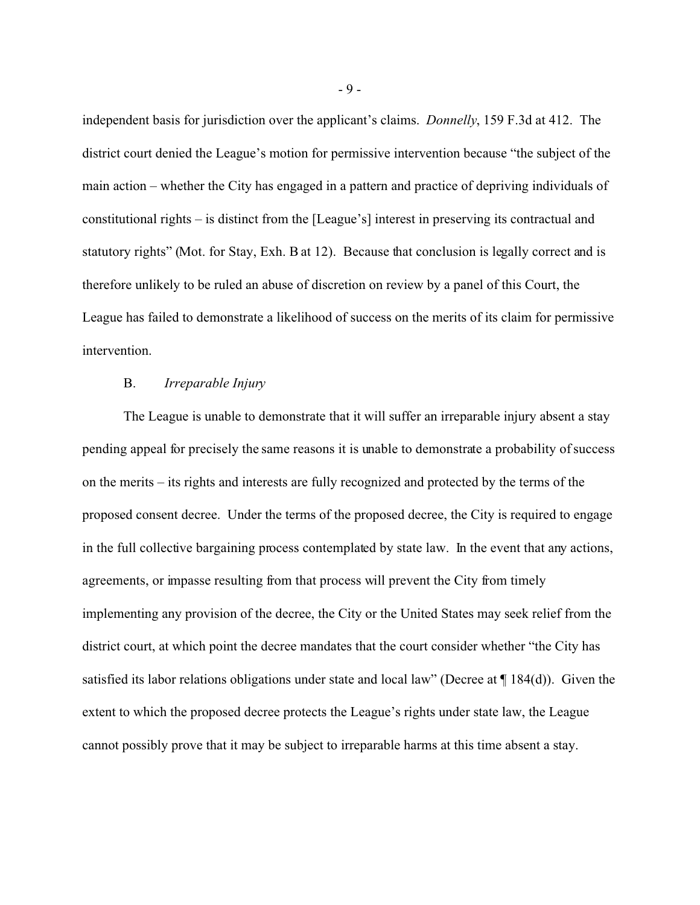independent basis for jurisdiction over the applicant's claims. *Donnelly*, 159 F.3d at 412. The district court denied the League's motion for permissive intervention because "the subject of the main action – whether the City has engaged in a pattern and practice of depriving individuals of constitutional rights – is distinct from the [League's] interest in preserving its contractual and statutory rights" (Mot. for Stay, Exh. B at 12). Because that conclusion is legally correct and is therefore unlikely to be ruled an abuse of discretion on review by a panel of this Court, the League has failed to demonstrate a likelihood of success on the merits of its claim for permissive intervention.

### B. *Irreparable Injury*

The League is unable to demonstrate that it will suffer an irreparable injury absent a stay pending appeal for precisely the same reasons it is unable to demonstrate a probability of success on the merits – its rights and interests are fully recognized and protected by the terms of the proposed consent decree. Under the terms of the proposed decree, the City is required to engage in the full collective bargaining process contemplated by state law. In the event that any actions, agreements, or impasse resulting from that process will prevent the City from timely implementing any provision of the decree, the City or the United States may seek relief from the district court, at which point the decree mandates that the court consider whether "the City has satisfied its labor relations obligations under state and local law" (Decree at ¶ 184(d)). Given the extent to which the proposed decree protects the League's rights under state law, the League cannot possibly prove that it may be subject to irreparable harms at this time absent a stay.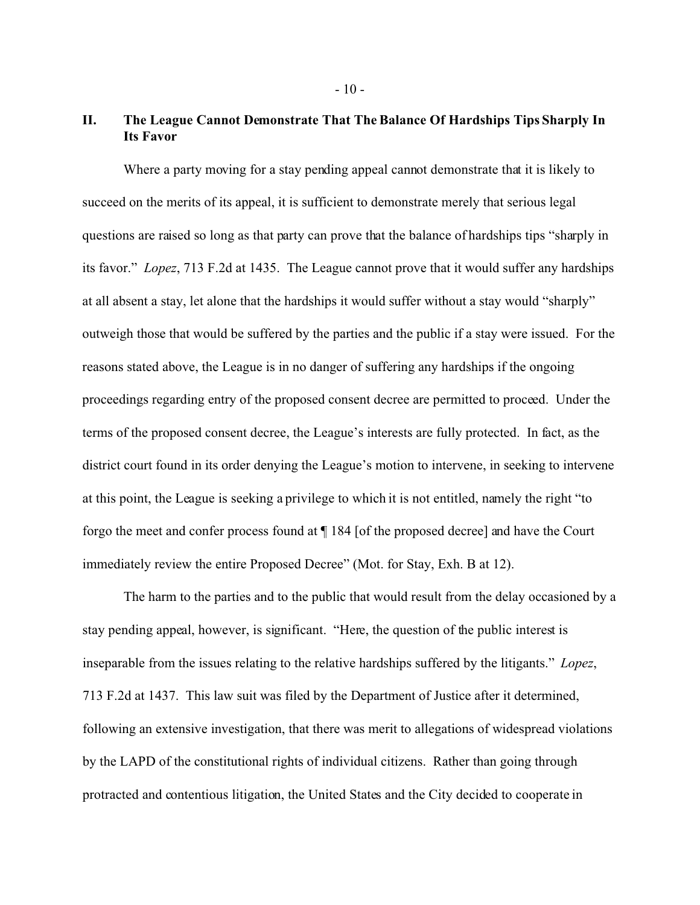# **II. The League Cannot Demonstrate That The Balance Of Hardships Tips Sharply In Its Favor**

Where a party moving for a stay pending appeal cannot demonstrate that it is likely to succeed on the merits of its appeal, it is sufficient to demonstrate merely that serious legal questions are raised so long as that party can prove that the balance of hardships tips "sharply in its favor." *Lopez*, 713 F.2d at 1435. The League cannot prove that it would suffer any hardships at all absent a stay, let alone that the hardships it would suffer without a stay would "sharply" outweigh those that would be suffered by the parties and the public if a stay were issued. For the reasons stated above, the League is in no danger of suffering any hardships if the ongoing proceedings regarding entry of the proposed consent decree are permitted to proceed. Under the terms of the proposed consent decree, the League's interests are fully protected. In fact, as the district court found in its order denying the League's motion to intervene, in seeking to intervene at this point, the League is seeking a privilege to which it is not entitled, namely the right "to forgo the meet and confer process found at ¶ 184 [of the proposed decree] and have the Court immediately review the entire Proposed Decree" (Mot. for Stay, Exh. B at 12).

The harm to the parties and to the public that would result from the delay occasioned by a stay pending appeal, however, is significant. "Here, the question of the public interest is inseparable from the issues relating to the relative hardships suffered by the litigants." *Lopez*, 713 F.2d at 1437. This law suit was filed by the Department of Justice after it determined, following an extensive investigation, that there was merit to allegations of widespread violations by the LAPD of the constitutional rights of individual citizens. Rather than going through protracted and contentious litigation, the United States and the City decided to cooperate in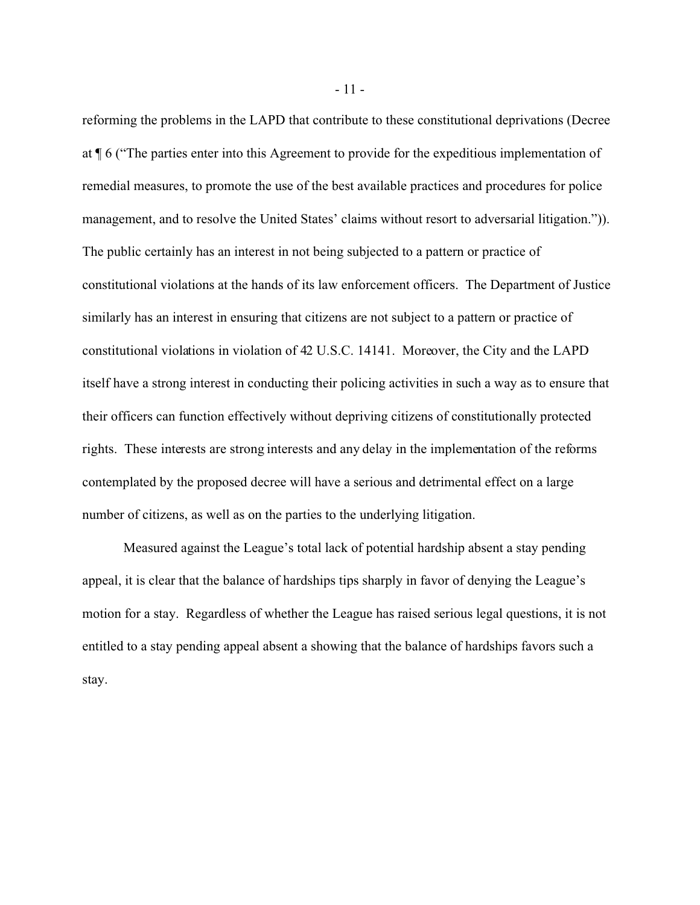reforming the problems in the LAPD that contribute to these constitutional deprivations (Decree at ¶ 6 ("The parties enter into this Agreement to provide for the expeditious implementation of remedial measures, to promote the use of the best available practices and procedures for police management, and to resolve the United States' claims without resort to adversarial litigation.")). The public certainly has an interest in not being subjected to a pattern or practice of constitutional violations at the hands of its law enforcement officers. The Department of Justice similarly has an interest in ensuring that citizens are not subject to a pattern or practice of constitutional violations in violation of 42 U.S.C. 14141. Moreover, the City and the LAPD itself have a strong interest in conducting their policing activities in such a way as to ensure that their officers can function effectively without depriving citizens of constitutionally protected rights. These interests are strong interests and any delay in the implementation of the reforms contemplated by the proposed decree will have a serious and detrimental effect on a large number of citizens, as well as on the parties to the underlying litigation.

Measured against the League's total lack of potential hardship absent a stay pending appeal, it is clear that the balance of hardships tips sharply in favor of denying the League's motion for a stay. Regardless of whether the League has raised serious legal questions, it is not entitled to a stay pending appeal absent a showing that the balance of hardships favors such a stay.

- 11 -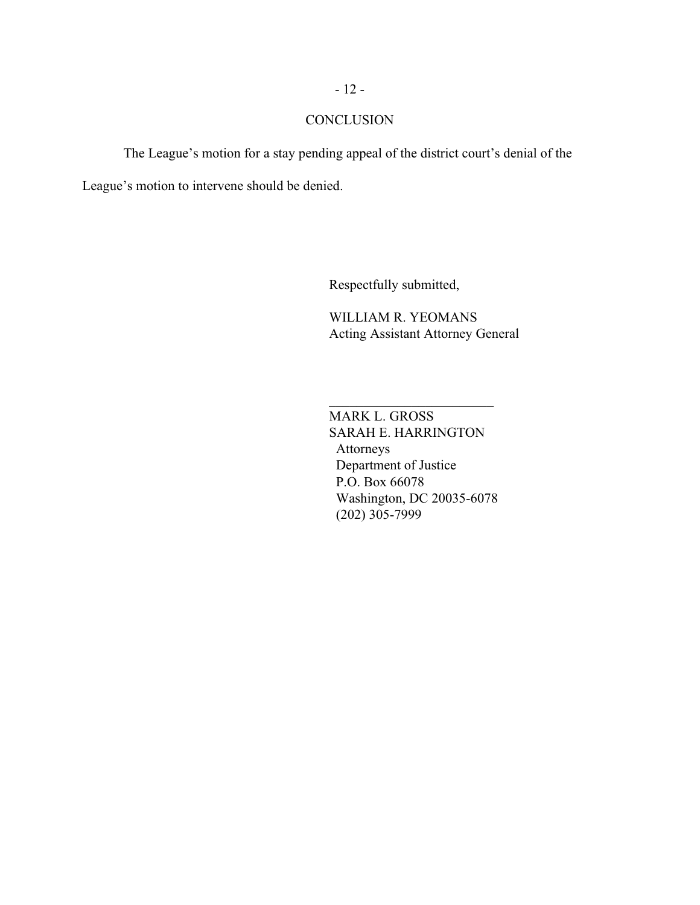## **CONCLUSION**

The League's motion for a stay pending appeal of the district court's denial of the League's motion to intervene should be denied.

Respectfully submitted,

WILLIAM R. YEOMANS Acting Assistant Attorney General

MARK L. GROSS SARAH E. HARRINGTON Attorneys Department of Justice P.O. Box 66078 Washington, DC 20035-6078 (202) 305-7999